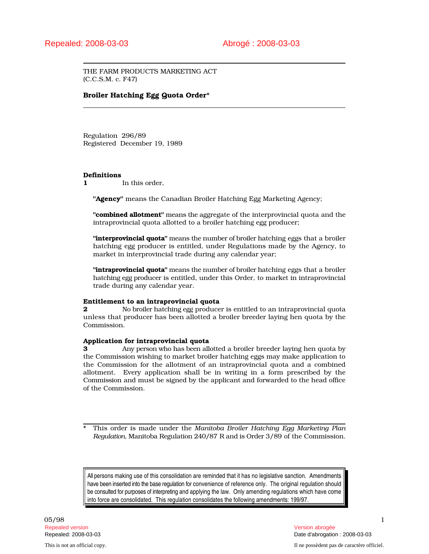THE FARM PRODUCTS MARKETING ACT (C.C.S.M. c. F47)

## Broiler Hatching Egg Quota Order\*

Regulation 296/89 Registered December 19, 1989

#### Definitions

1 In this order.

"Agency" means the Canadian Broiler Hatching Egg Marketing Agency;

"combined allotment" means the aggregate of the interprovincial quota and the intraprovincial quota allotted to a broiler hatching egg producer;

"interprovincial quota" means the number of broiler hatching eggs that a broiler hatching egg producer is entitled, under Regulations made by the Agency, to market in interprovincial trade during any calendar year;

"**intraprovincial quota**" means the number of broiler hatching eggs that a broiler hatching egg producer is entitled, under this Order, to market in intraprovincial trade during any calendar year.

#### Entitlement to an intraprovincial quota

2 No broiler hatching egg producer is entitled to an intraprovincial quota unless that producer has been allotted a broiler breeder laying hen quota by the Commission.

# Application for intraprovincial quota

3 Any person who has been allotted a broiler breeder laying hen quota by the Commission wishing to market broiler hatching eggs may make application to the Commission for the allotment of an intraprovincial quota and a combined allotment. Every application shall be in writing in a form prescribed by the Commission and must be signed by the applicant and forwarded to the head office of the Commission.

\* This order is made under the *Manitoba Broiler Hatching Egg Marketing Plan Regulation*, Manitoba Regulation 240/87 R and is Order 3/89 of the Commission.

All persons making use of this consolidation are reminded that it has no legislative sanction. Amendments have been inserted into the base regulation for convenience of reference only. The original regulation should be consulted for purposes of interpreting and applying the law. Only amending regulations which have come into force are consolidated. This regulation consolidates the following amendments: 199/97.

05/98 1 Repealed version Version abrogée

Repealed: 2008-03-03 Date d'abrogation : 2008-03-03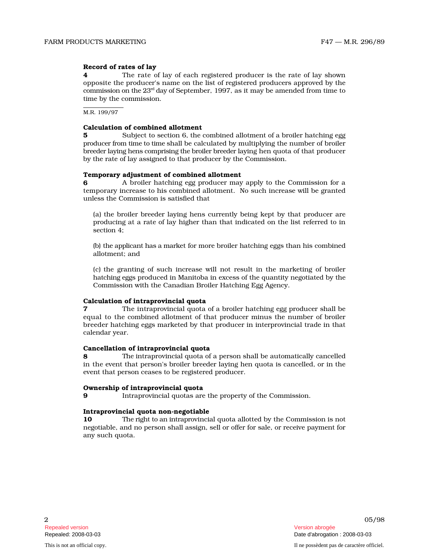### Record of rates of lay

**4** The rate of lay of each registered producer is the rate of lay shown opposite the producer's name on the list of registered producers approved by the commission on the  $23<sup>rd</sup>$  day of September, 1997, as it may be amended from time to time by the commission.

M.R. 199/97

### Calculation of combined allotment

5 Subject to section 6, the combined allotment of a broiler hatching egg producer from time to time shall be calculated by multiplying the number of broiler breeder laying hens comprising the broiler breeder laying hen quota of that producer by the rate of lay assigned to that producer by the Commission.

## Temporary adjustment of combined allotment

**6** A broiler hatching egg producer may apply to the Commission for a temporary increase to his combined allotment. No such increase will be granted unless the Commission is satisfied that

(a) the broiler breeder laying hens currently being kept by that producer are producing at a rate of lay higher than that indicated on the list referred to in section 4;

(b) the applicant has a market for more broiler hatching eggs than his combined allotment; and

(c) the granting of such increase will not result in the marketing of broiler h at c h i ng e ggs produced in Manitoba in excess of the quantity negotiated by the Commission with the Canadian Broiler Hatching Egg Agency.

#### Calculation of intraprovincial quota

**7** The intraprovincial quota of a broiler hatching egg producer shall be equal to the combined allotment of that producer minus the number of broiler breeder hatching eggs marketed by that producer in interprovincial trade in that calendar year.

#### Cancellation of intraprovincial quota

8 The intraprovincial quota of a person shall be automatically cancelled in the event that person's broiler breeder laying hen quota is cancelled, or in the event that person ceases to be registered producer.

### Ownership of intraprovincial quota

9 Intraprovincial quotas are the property of the Commission.

# Intraprovincial quota non-negotiable

10 The ri ght to an i n trap rovincial quota allotted by the Commission is not n egotiable, and no person shall assign, sell or offer for sale, or receive payment for any such quota.